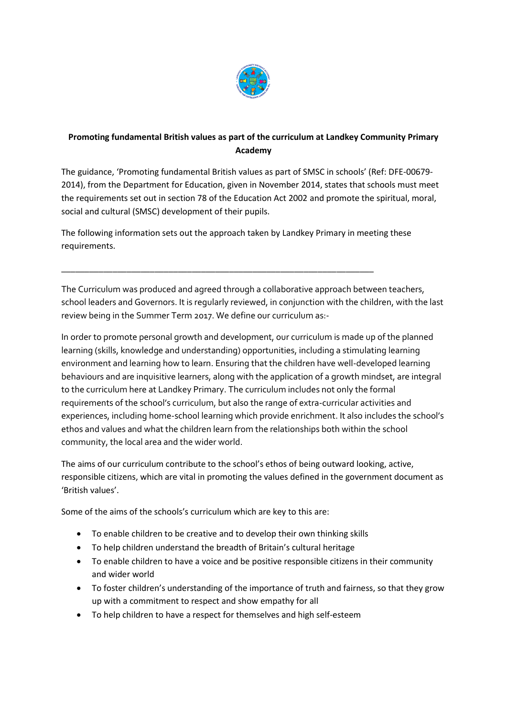

## **Promoting fundamental British values as part of the curriculum at Landkey Community Primary Academy**

The guidance, 'Promoting fundamental British values as part of SMSC in schools' (Ref: DFE-00679- 2014), from the Department for Education, given in November 2014, states that schools must meet the requirements set out in section 78 of the Education Act 2002 and promote the spiritual, moral, social and cultural (SMSC) development of their pupils.

The following information sets out the approach taken by Landkey Primary in meeting these requirements.

\_\_\_\_\_\_\_\_\_\_\_\_\_\_\_\_\_\_\_\_\_\_\_\_\_\_\_\_\_\_\_\_\_\_\_\_\_\_\_\_\_\_\_\_\_\_\_\_\_\_\_\_\_\_\_\_\_\_\_\_\_\_\_\_\_\_\_

The Curriculum was produced and agreed through a collaborative approach between teachers, school leaders and Governors. It is regularly reviewed, in conjunction with the children, with the last review being in the Summer Term 2017. We define our curriculum as:-

In order to promote personal growth and development, our curriculum is made up of the planned learning (skills, knowledge and understanding) opportunities, including a stimulating learning environment and learning how to learn. Ensuring that the children have well-developed learning behaviours and are inquisitive learners, along with the application of a growth mindset, are integral to the curriculum here at Landkey Primary. The curriculum includes not only the formal requirements of the school's curriculum, but also the range of extra-curricular activities and experiences, including home-school learning which provide enrichment. It also includes the school's ethos and values and what the children learn from the relationships both within the school community, the local area and the wider world.

The aims of our curriculum contribute to the school's ethos of being outward looking, active, responsible citizens, which are vital in promoting the values defined in the government document as 'British values'.

Some of the aims of the schools's curriculum which are key to this are:

- To enable children to be creative and to develop their own thinking skills
- To help children understand the breadth of Britain's cultural heritage
- To enable children to have a voice and be positive responsible citizens in their community and wider world
- To foster children's understanding of the importance of truth and fairness, so that they grow up with a commitment to respect and show empathy for all
- To help children to have a respect for themselves and high self-esteem